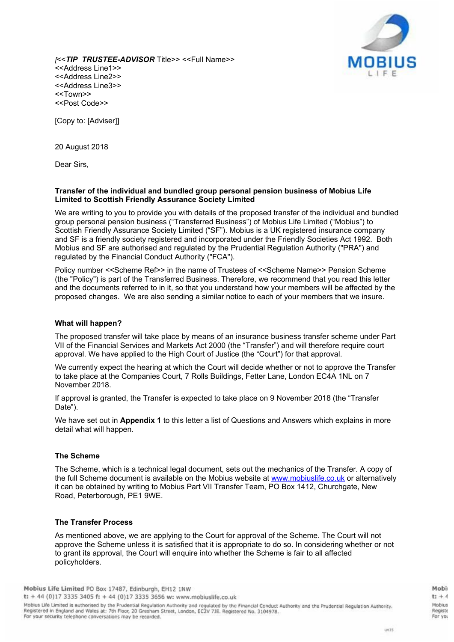

*[*<<*TIP TRUSTEE-ADVISOR* Title>> <<Full Name>> <<Address Line1>> <<Address Line2>> <<Address Line3>> <<Town>> <<Post Code>>

[Copy to: [Adviser]]

20 August 2018

Dear Sirs,

#### **Transfer of the individual and bundled group personal pension business of Mobius Life Limited to Scottish Friendly Assurance Society Limited**

We are writing to you to provide you with details of the proposed transfer of the individual and bundled group personal pension business ("Transferred Business") of Mobius Life Limited ("Mobius") to Scottish Friendly Assurance Society Limited ("SF"). Mobius is a UK registered insurance company and SF is a friendly society registered and incorporated under the Friendly Societies Act 1992. Both Mobius and SF are authorised and regulated by the Prudential Regulation Authority ("PRA") and regulated by the Financial Conduct Authority ("FCA").

Policy number <<Scheme Ref>> in the name of Trustees of <<Scheme Name>> Pension Scheme (the "Policy") is part of the Transferred Business. Therefore, we recommend that you read this letter and the documents referred to in it, so that you understand how your members will be affected by the proposed changes. We are also sending a similar notice to each of your members that we insure.

## **What will happen?**

The proposed transfer will take place by means of an insurance business transfer scheme under Part VII of the Financial Services and Markets Act 2000 (the "Transfer") and will therefore require court approval. We have applied to the High Court of Justice (the "Court") for that approval.

We currently expect the hearing at which the Court will decide whether or not to approve the Transfer to take place at the Companies Court, 7 Rolls Buildings, Fetter Lane, London EC4A 1NL on 7 November 2018.

If approval is granted, the Transfer is expected to take place on 9 November 2018 (the "Transfer Date").

We have set out in **Appendix 1** to this letter a list of Questions and Answers which explains in more detail what will happen.

# **The Scheme**

The Scheme, which is a technical legal document, sets out the mechanics of the Transfer. A copy of the full Scheme document is available on the Mobius website at www.mobiuslife.co.uk or alternatively it can be obtained by writing to Mobius Part VII Transfer Team, PO Box 1412, Churchgate, New Road, Peterborough, PE1 9WE.

# **The Transfer Process**

As mentioned above, we are applying to the Court for approval of the Scheme. The Court will not approve the Scheme unless it is satisfied that it is appropriate to do so. In considering whether or not to grant its approval, the Court will enquire into whether the Scheme is fair to all affected policyholders.

Mobi  $1 + 4$ Mobius Registe For voi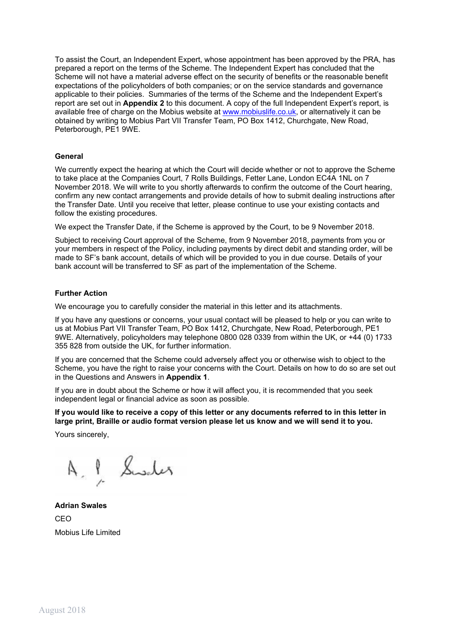To assist the Court, an Independent Expert, whose appointment has been approved by the PRA, has prepared a report on the terms of the Scheme. The Independent Expert has concluded that the Scheme will not have a material adverse effect on the security of benefits or the reasonable benefit expectations of the policyholders of both companies; or on the service standards and governance applicable to their policies. Summaries of the terms of the Scheme and the Independent Expert's report are set out in **Appendix 2** to this document. A copy of the full Independent Expert's report, is available free of charge on the Mobius website at www.mobiuslife.co.uk, or alternatively it can be obtained by writing to Mobius Part VII Transfer Team, PO Box 1412, Churchgate, New Road, Peterborough, PE1 9WE.

#### **General**

We currently expect the hearing at which the Court will decide whether or not to approve the Scheme to take place at the Companies Court, 7 Rolls Buildings, Fetter Lane, London EC4A 1NL on 7 November 2018. We will write to you shortly afterwards to confirm the outcome of the Court hearing, confirm any new contact arrangements and provide details of how to submit dealing instructions after the Transfer Date. Until you receive that letter, please continue to use your existing contacts and follow the existing procedures.

We expect the Transfer Date, if the Scheme is approved by the Court, to be 9 November 2018.

Subject to receiving Court approval of the Scheme, from 9 November 2018, payments from you or your members in respect of the Policy, including payments by direct debit and standing order, will be made to SF's bank account, details of which will be provided to you in due course. Details of your bank account will be transferred to SF as part of the implementation of the Scheme.

#### **Further Action**

We encourage you to carefully consider the material in this letter and its attachments.

If you have any questions or concerns, your usual contact will be pleased to help or you can write to us at Mobius Part VII Transfer Team, PO Box 1412, Churchgate, New Road, Peterborough, PE1 9WE. Alternatively, policyholders may telephone 0800 028 0339 from within the UK, or +44 (0) 1733 355 828 from outside the UK, for further information.

If you are concerned that the Scheme could adversely affect you or otherwise wish to object to the Scheme, you have the right to raise your concerns with the Court. Details on how to do so are set out in the Questions and Answers in **Appendix 1**.

If you are in doubt about the Scheme or how it will affect you, it is recommended that you seek independent legal or financial advice as soon as possible.

If you would like to receive a copy of this letter or any documents referred to in this letter in **large print, Braille or audio format version please let us know and we will send it to you.**

Yours sincerely,

A. P. Sweler

**Adrian Swales** CEO Mobius Life Limited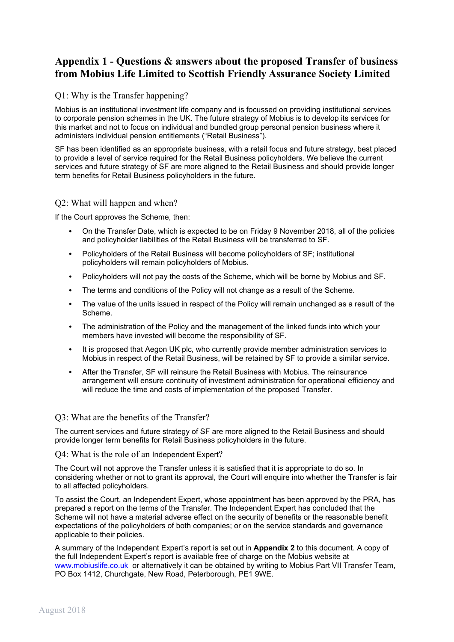# **Appendix 1 - Questions & answers about the proposed Transfer of business from Mobius Life Limited to Scottish Friendly Assurance Society Limited**

# Q1: Why is the Transfer happening?

Mobius is an institutional investment life company and is focussed on providing institutional services to corporate pension schemes in the UK. The future strategy of Mobius is to develop its services for this market and not to focus on individual and bundled group personal pension business where it administers individual pension entitlements ("Retail Business").

SF has been identified as an appropriate business, with a retail focus and future strategy, best placed to provide a level of service required for the Retail Business policyholders. We believe the current services and future strategy of SF are more aligned to the Retail Business and should provide longer term benefits for Retail Business policyholders in the future.

# Q2: What will happen and when?

If the Court approves the Scheme, then:

- On the Transfer Date, which is expected to be on Friday 9 November 2018, all of the policies and policyholder liabilities of the Retail Business will be transferred to SF.
- Policyholders of the Retail Business will become policyholders of SF; institutional policyholders will remain policyholders of Mobius.
- Policyholders will not pay the costs of the Scheme, which will be borne by Mobius and SF.
- The terms and conditions of the Policy will not change as a result of the Scheme.
- The value of the units issued in respect of the Policy will remain unchanged as a result of the Scheme.
- The administration of the Policy and the management of the linked funds into which your members have invested will become the responsibility of SF.
- It is proposed that Aegon UK plc, who currently provide member administration services to Mobius in respect of the Retail Business, will be retained by SF to provide a similar service.
- After the Transfer, SF will reinsure the Retail Business with Mobius. The reinsurance arrangement will ensure continuity of investment administration for operational efficiency and will reduce the time and costs of implementation of the proposed Transfer.

# Q3: What are the benefits of the Transfer?

The current services and future strategy of SF are more aligned to the Retail Business and should provide longer term benefits for Retail Business policyholders in the future.

Q4: What is the role of an Independent Expert?

The Court will not approve the Transfer unless it is satisfied that it is appropriate to do so. In considering whether or not to grant its approval, the Court will enquire into whether the Transfer is fair to all affected policyholders.

To assist the Court, an Independent Expert, whose appointment has been approved by the PRA, has prepared a report on the terms of the Transfer. The Independent Expert has concluded that the Scheme will not have a material adverse effect on the security of benefits or the reasonable benefit expectations of the policyholders of both companies; or on the service standards and governance applicable to their policies.

A summary of the Independent Expert's report is set out in **Appendix 2** to this document. A copy of the full Independent Expert's report is available free of charge on the Mobius website at www.mobiuslife.co.uk or alternatively it can be obtained by writing to Mobius Part VII Transfer Team, PO Box 1412, Churchgate, New Road, Peterborough, PE1 9WE.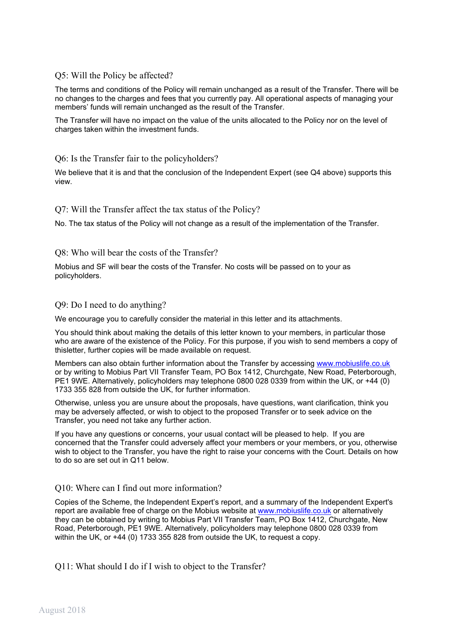# Q5: Will the Policy be affected?

The terms and conditions of the Policy will remain unchanged as a result of the Transfer. There will be no changes to the charges and fees that you currently pay. All operational aspects of managing your members' funds will remain unchanged as the result of the Transfer.

The Transfer will have no impact on the value of the units allocated to the Policy nor on the level of charges taken within the investment funds.

Q6: Is the Transfer fair to the policyholders?

We believe that it is and that the conclusion of the Independent Expert (see Q4 above) supports this view.

## Q7: Will the Transfer affect the tax status of the Policy?

No. The tax status of the Policy will not change as a result of the implementation of the Transfer.

## Q8: Who will bear the costs of the Transfer?

Mobius and SF will bear the costs of the Transfer. No costs will be passed on to your as policyholders.

## Q9: Do I need to do anything?

We encourage you to carefully consider the material in this letter and its attachments.

You should think about making the details of this letter known to your members, in particular those who are aware of the existence of the Policy. For this purpose, if you wish to send members a copy of thisletter, further copies will be made available on request.

Members can also obtain further information about the Transfer by accessing www.mobiuslife.co.uk or by writing to Mobius Part VII Transfer Team, PO Box 1412, Churchgate, New Road, Peterborough, PE1 9WE. Alternatively, policyholders may telephone 0800 028 0339 from within the UK, or +44 (0) 1733 355 828 from outside the UK, for further information.

Otherwise, unless you are unsure about the proposals, have questions, want clarification, think you may be adversely affected, or wish to object to the proposed Transfer or to seek advice on the Transfer, you need not take any further action.

If you have any questions or concerns, your usual contact will be pleased to help. If you are concerned that the Transfer could adversely affect your members or your members, or you, otherwise wish to object to the Transfer, you have the right to raise your concerns with the Court. Details on how to do so are set out in Q11 below.

# Q10: Where can I find out more information?

Copies of the Scheme, the Independent Expert's report, and a summary of the Independent Expert's report are available free of charge on the Mobius website at www.mobiuslife.co.uk or alternatively they can be obtained by writing to Mobius Part VII Transfer Team, PO Box 1412, Churchgate, New Road, Peterborough, PE1 9WE. Alternatively, policyholders may telephone 0800 028 0339 from within the UK, or +44 (0) 1733 355 828 from outside the UK, to request a copy.

Q11: What should I do if I wish to object to the Transfer?